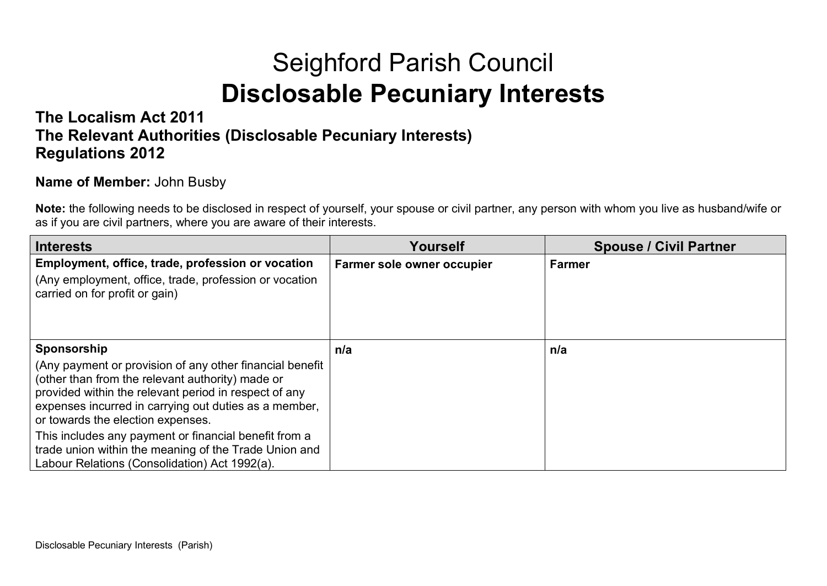## Seighford Parish Council **Disclosable Pecuniary Interests**

## **The Localism Act 2011 The Relevant Authorities (Disclosable Pecuniary Interests) Regulations 2012**

## **Name of Member:** John Busby

**Note:** the following needs to be disclosed in respect of yourself, your spouse or civil partner, any person with whom you live as husband/wife or as if you are civil partners, where you are aware of their interests.

| Interests                                                                                                                                                                                                                                                           | Yourself                   | <b>Spouse / Civil Partner</b> |
|---------------------------------------------------------------------------------------------------------------------------------------------------------------------------------------------------------------------------------------------------------------------|----------------------------|-------------------------------|
| Employment, office, trade, profession or vocation                                                                                                                                                                                                                   | Farmer sole owner occupier | Farmer                        |
| (Any employment, office, trade, profession or vocation<br>carried on for profit or gain)                                                                                                                                                                            |                            |                               |
| Sponsorship                                                                                                                                                                                                                                                         | n/a                        | n/a                           |
| (Any payment or provision of any other financial benefit<br>(other than from the relevant authority) made or<br>provided within the relevant period in respect of any<br>expenses incurred in carrying out duties as a member.<br>or towards the election expenses. |                            |                               |
| This includes any payment or financial benefit from a<br>trade union within the meaning of the Trade Union and<br>Labour Relations (Consolidation) Act 1992(a).                                                                                                     |                            |                               |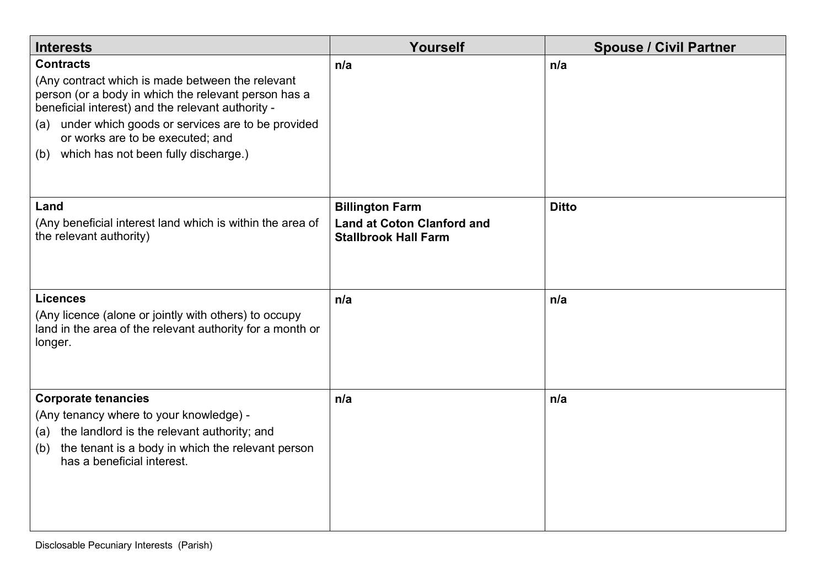| <b>Interests</b>                                                                                                                                                                                                   | Yourself                                                                                   | <b>Spouse / Civil Partner</b> |
|--------------------------------------------------------------------------------------------------------------------------------------------------------------------------------------------------------------------|--------------------------------------------------------------------------------------------|-------------------------------|
| <b>Contracts</b><br>(Any contract which is made between the relevant<br>person (or a body in which the relevant person has a<br>beneficial interest) and the relevant authority -                                  | n/a                                                                                        | n/a                           |
| under which goods or services are to be provided<br>(a)<br>or works are to be executed; and<br>which has not been fully discharge.)<br>(b)                                                                         |                                                                                            |                               |
|                                                                                                                                                                                                                    |                                                                                            |                               |
| Land<br>(Any beneficial interest land which is within the area of<br>the relevant authority)                                                                                                                       | <b>Billington Farm</b><br><b>Land at Coton Clanford and</b><br><b>Stallbrook Hall Farm</b> | <b>Ditto</b>                  |
| <b>Licences</b><br>(Any licence (alone or jointly with others) to occupy<br>land in the area of the relevant authority for a month or<br>longer.                                                                   | n/a                                                                                        | n/a                           |
| <b>Corporate tenancies</b><br>(Any tenancy where to your knowledge) -<br>(a) the landlord is the relevant authority; and<br>the tenant is a body in which the relevant person<br>(b)<br>has a beneficial interest. | n/a                                                                                        | n/a                           |